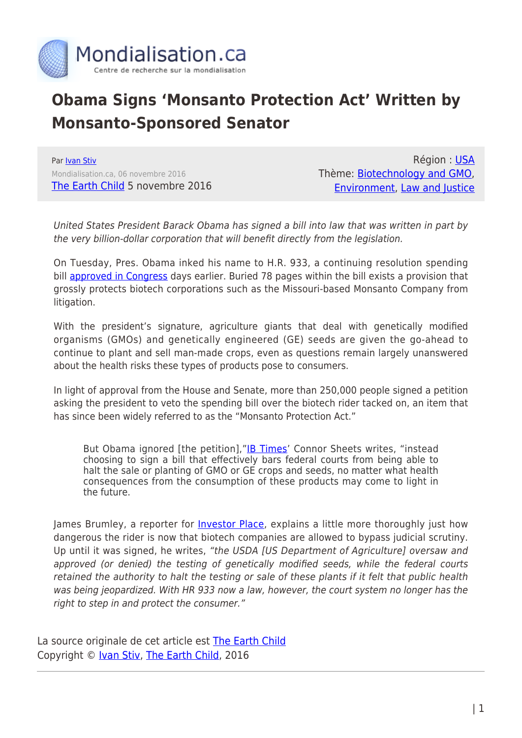

## **Obama Signs 'Monsanto Protection Act' Written by Monsanto-Sponsored Senator**

Par [Ivan Stiv](https://www.mondialisation.ca/author/ivan-stiv) Mondialisation.ca, 06 novembre 2016 [The Earth Child](http://www.theearthchild.co.za/obama-signs-monsanto-protection-act-written-monsanto-sponsored-senator/) 5 novembre 2016

Région : [USA](https://www.mondialisation.ca/region/usa) Thème: [Biotechnology and GMO](https://www.mondialisation.ca/theme/biotechnology-and-gmo), [Environment,](https://www.mondialisation.ca/theme/environment) [Law and Justice](https://www.mondialisation.ca/theme/law-and-justice)

United States President Barack Obama has signed a bill into law that was written in part by the very billion-dollar corporation that will benefit directly from the legislation.

On Tuesday, Pres. Obama inked his name to H.R. 933, a continuing resolution spending bill [approved in Congress](http://rt.com/usa/monsanto-congress-silently-slips-830/) days earlier. Buried 78 pages within the bill exists a provision that grossly protects biotech corporations such as the Missouri-based Monsanto Company from litigation.

With the president's signature, agriculture giants that deal with genetically modified organisms (GMOs) and genetically engineered (GE) seeds are given the go-ahead to continue to plant and sell man-made crops, even as questions remain largely unanswered about the health risks these types of products pose to consumers.

In light of approval from the House and Senate, more than 250,000 people signed a petition asking the president to veto the spending bill over the biotech rider tacked on, an item that has since been widely referred to as the "Monsanto Protection Act."

But Obama ignored [the petition],"[IB Times'](http://www.ibtimes.com/monsanto-protection-act-5-terrifying-things-know-about-hr-933-provision-1156079) Connor Sheets writes, "instead choosing to sign a bill that effectively bars federal courts from being able to halt the sale or planting of GMO or GE crops and seeds, no matter what health consequences from the consumption of these products may come to light in the future.

James Brumley, a reporter for *[Investor Place](http://investorplace.com/investorpolitics/the-monsanto-protection-act-only-in-america/)*, explains a little more thoroughly just how dangerous the rider is now that biotech companies are allowed to bypass judicial scrutiny. Up until it was signed, he writes, "the USDA [US Department of Agriculture] oversaw and approved (or denied) the testing of genetically modified seeds, while the federal courts retained the authority to halt the testing or sale of these plants if it felt that public health was being jeopardized. With HR 933 now a law, however, the court system no longer has the right to step in and protect the consumer."

La source originale de cet article est [The Earth Child](http://www.theearthchild.co.za/obama-signs-monsanto-protection-act-written-monsanto-sponsored-senator/) Copyright © [Ivan Stiv,](https://www.mondialisation.ca/author/ivan-stiv) [The Earth Child,](http://www.theearthchild.co.za/obama-signs-monsanto-protection-act-written-monsanto-sponsored-senator/) 2016